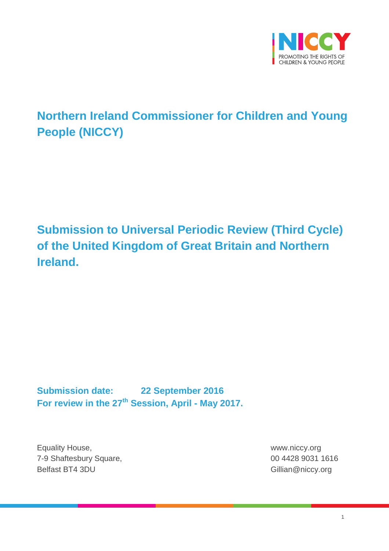

# **Northern Ireland Commissioner for Children and Young People (NICCY)**

**Submission to Universal Periodic Review (Third Cycle) of the United Kingdom of Great Britain and Northern Ireland.**

**Submission date: 22 September 2016 For review in the 27th Session, April - May 2017.**

Equality House, www.niccy.org 7-9 Shaftesbury Square, 00 4428 9031 1616 Belfast BT4 3DU Gillian@niccy.org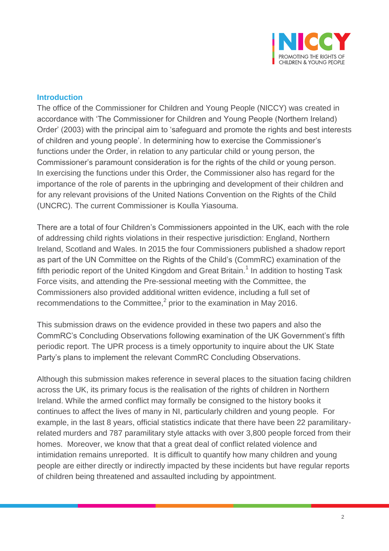

#### **Introduction**

The office of the Commissioner for Children and Young People (NICCY) was created in accordance with 'The Commissioner for Children and Young People (Northern Ireland) Order' (2003) with the principal aim to 'safeguard and promote the rights and best interests of children and young people'. In determining how to exercise the Commissioner's functions under the Order, in relation to any particular child or young person, the Commissioner's paramount consideration is for the rights of the child or young person. In exercising the functions under this Order, the Commissioner also has regard for the importance of the role of parents in the upbringing and development of their children and for any relevant provisions of the United Nations Convention on the Rights of the Child (UNCRC). The current Commissioner is Koulla Yiasouma.

There are a total of four Children's Commissioners appointed in the UK, each with the role of addressing child rights violations in their respective jurisdiction: England, Northern Ireland, Scotland and Wales. In 2015 the four Commissioners published a shadow report as part of the UN Committee on the Rights of the Child's (CommRC) examination of the fifth periodic report of the United Kingdom and Great Britain.<sup>1</sup> In addition to hosting Task Force visits, and attending the Pre-sessional meeting with the Committee, the Commissioners also provided additional written evidence, including a full set of recommendations to the Committee, $^2$  prior to the examination in May 2016.

This submission draws on the evidence provided in these two papers and also the CommRC's Concluding Observations following examination of the UK Government's fifth periodic report. The UPR process is a timely opportunity to inquire about the UK State Party's plans to implement the relevant CommRC Concluding Observations.

Although this submission makes reference in several places to the situation facing children across the UK, its primary focus is the realisation of the rights of children in Northern Ireland. While the armed conflict may formally be consigned to the history books it continues to affect the lives of many in NI, particularly children and young people. For example, in the last 8 years, official statistics indicate that there have been 22 paramilitaryrelated murders and 787 paramilitary style attacks with over 3,800 people forced from their homes. Moreover, we know that that a great deal of conflict related violence and intimidation remains unreported. It is difficult to quantify how many children and young people are either directly or indirectly impacted by these incidents but have regular reports of children being threatened and assaulted including by appointment.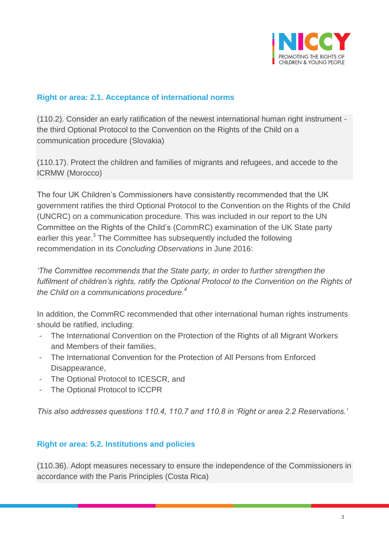

#### **Right or area: 2.1. Acceptance of international norms**

(110.2). Consider an early ratification of the newest international human right instrument the third Optional Protocol to the Convention on the Rights of the Child on a communication procedure (Slovakia)

(110.17). Protect the children and families of migrants and refugees, and accede to the ICRMW (Morocco)

The four UK Children's Commissioners have consistently recommended that the UK government ratifies the third Optional Protocol to the Convention on the Rights of the Child (UNCRC) on a communication procedure. This was included in our report to the UN Committee on the Rights of the Child's (CommRC) examination of the UK State party earlier this year.<sup>3</sup> The Committee has subsequently included the following recommendation in its *Concluding Observations* in June 2016:

*'The Committee recommends that the State party, in order to further strengthen the fulfilment of children's rights, ratify the Optional Protocol to the Convention on the Rights of the Child on a communications procedure.<sup>4</sup>*

In addition, the CommRC recommended that other international human rights instruments should be ratified, including:

- The International Convention on the Protection of the Rights of all Migrant Workers and Members of their families,
- The International Convention for the Protection of All Persons from Enforced Disappearance,
- The Optional Protocol to ICESCR, and
- The Optional Protocol to ICCPR

*This also addresses questions 110.4, 110.7 and 110.8 in 'Right or area 2.2 Reservations.'*

#### **Right or area: 5.2. Institutions and policies**

(110.36). Adopt measures necessary to ensure the independence of the Commissioners in accordance with the Paris Principles (Costa Rica)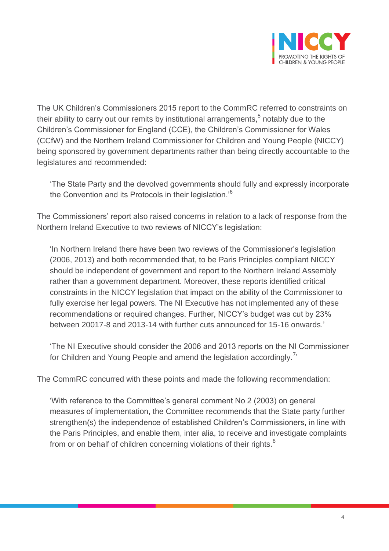

The UK Children's Commissioners 2015 report to the CommRC referred to constraints on their ability to carry out our remits by institutional arrangements,<sup>5</sup> notably due to the Children's Commissioner for England (CCE), the Children's Commissioner for Wales (CCfW) and the Northern Ireland Commissioner for Children and Young People (NICCY) being sponsored by government departments rather than being directly accountable to the legislatures and recommended:

'The State Party and the devolved governments should fully and expressly incorporate the Convention and its Protocols in their legislation.<sup>'6</sup>

The Commissioners' report also raised concerns in relation to a lack of response from the Northern Ireland Executive to two reviews of NICCY's legislation:

'In Northern Ireland there have been two reviews of the Commissioner's legislation (2006, 2013) and both recommended that, to be Paris Principles compliant NICCY should be independent of government and report to the Northern Ireland Assembly rather than a government department. Moreover, these reports identified critical constraints in the NICCY legislation that impact on the ability of the Commissioner to fully exercise her legal powers. The NI Executive has not implemented any of these recommendations or required changes. Further, NICCY's budget was cut by 23% between 20017-8 and 2013-14 with further cuts announced for 15-16 onwards.'

'The NI Executive should consider the 2006 and 2013 reports on the NI Commissioner for Children and Young People and amend the legislation accordingly.<sup>7,</sup>

The CommRC concurred with these points and made the following recommendation:

'With reference to the Committee's general comment No 2 (2003) on general measures of implementation, the Committee recommends that the State party further strengthen(s) the independence of established Children's Commissioners, in line with the Paris Principles, and enable them, inter alia, to receive and investigate complaints from or on behalf of children concerning violations of their rights.<sup>8</sup>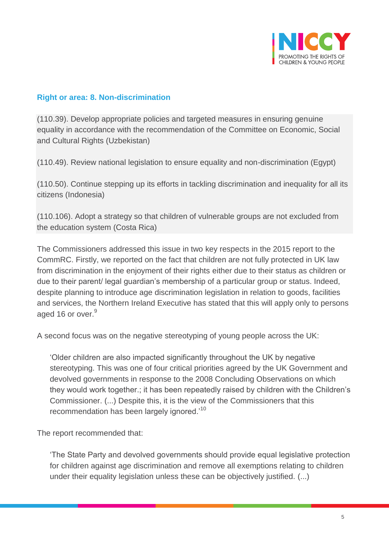

#### **Right or area: 8. Non-discrimination**

(110.39). Develop appropriate policies and targeted measures in ensuring genuine equality in accordance with the recommendation of the Committee on Economic, Social and Cultural Rights (Uzbekistan)

(110.49). Review national legislation to ensure equality and non-discrimination (Egypt)

(110.50). Continue stepping up its efforts in tackling discrimination and inequality for all its citizens (Indonesia)

(110.106). Adopt a strategy so that children of vulnerable groups are not excluded from the education system (Costa Rica)

The Commissioners addressed this issue in two key respects in the 2015 report to the CommRC. Firstly, we reported on the fact that children are not fully protected in UK law from discrimination in the enjoyment of their rights either due to their status as children or due to their parent/ legal guardian's membership of a particular group or status. Indeed, despite planning to introduce age discrimination legislation in relation to goods, facilities and services, the Northern Ireland Executive has stated that this will apply only to persons aged 16 or over.<sup>9</sup>

A second focus was on the negative stereotyping of young people across the UK:

'Older children are also impacted significantly throughout the UK by negative stereotyping. This was one of four critical priorities agreed by the UK Government and devolved governments in response to the 2008 Concluding Observations on which they would work together.; it has been repeatedly raised by children with the Children's Commissioner. (...) Despite this, it is the view of the Commissioners that this recommendation has been largely ignored.'<sup>10</sup>

The report recommended that:

'The State Party and devolved governments should provide equal legislative protection for children against age discrimination and remove all exemptions relating to children under their equality legislation unless these can be objectively justified. (...)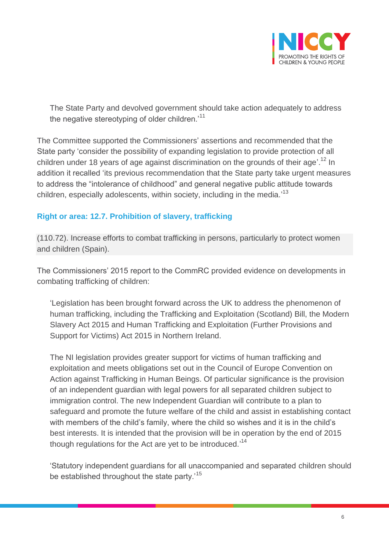

The State Party and devolved government should take action adequately to address the negative stereotyping of older children.<sup>11</sup>

The Committee supported the Commissioners' assertions and recommended that the State party 'consider the possibility of expanding legislation to provide protection of all children under 18 years of age against discrimination on the grounds of their age'.<sup>12</sup> In addition it recalled 'its previous recommendation that the State party take urgent measures to address the "intolerance of childhood" and general negative public attitude towards children, especially adolescents, within society, including in the media.'<sup>13</sup>

# **Right or area: 12.7. Prohibition of slavery, trafficking**

(110.72). Increase efforts to combat trafficking in persons, particularly to protect women and children (Spain).

The Commissioners' 2015 report to the CommRC provided evidence on developments in combating trafficking of children:

'Legislation has been brought forward across the UK to address the phenomenon of human trafficking, including the Trafficking and Exploitation (Scotland) Bill, the Modern Slavery Act 2015 and Human Trafficking and Exploitation (Further Provisions and Support for Victims) Act 2015 in Northern Ireland.

The NI legislation provides greater support for victims of human trafficking and exploitation and meets obligations set out in the Council of Europe Convention on Action against Trafficking in Human Beings. Of particular significance is the provision of an independent guardian with legal powers for all separated children subject to immigration control. The new Independent Guardian will contribute to a plan to safeguard and promote the future welfare of the child and assist in establishing contact with members of the child's family, where the child so wishes and it is in the child's best interests. It is intended that the provision will be in operation by the end of 2015 though regulations for the Act are yet to be introduced.<sup>14</sup>

'Statutory independent guardians for all unaccompanied and separated children should be established throughout the state party.<sup>15</sup>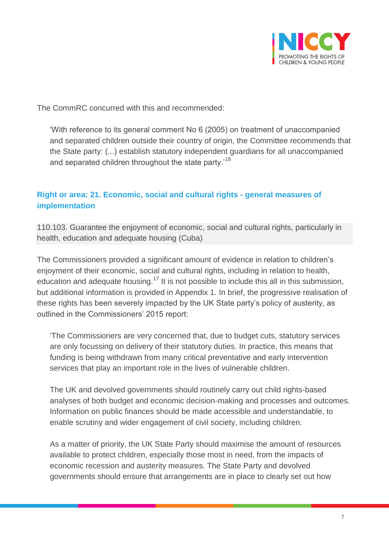

The CommRC concurred with this and recommended:

'With reference to its general comment No 6 (2005) on treatment of unaccompanied and separated children outside their country of origin, the Committee recommends that the State party: (...) establish statutory independent guardians for all unaccompanied and separated children throughout the state party.<sup>16</sup>

# **Right or area: 21. Economic, social and cultural rights - general measures of implementation**

110.103. Guarantee the enjoyment of economic, social and cultural rights, particularly in health, education and adequate housing (Cuba)

The Commissioners provided a significant amount of evidence in relation to children's enjoyment of their economic, social and cultural rights, including in relation to health, education and adequate housing.<sup>17</sup> It is not possible to include this all in this submission, but additional information is provided in Appendix 1. In brief, the progressive realisation of these rights has been severely impacted by the UK State party's policy of austerity, as outlined in the Commissioners' 2015 report:

'The Commissioners are very concerned that, due to budget cuts, statutory services are only focussing on delivery of their statutory duties. In practice, this means that funding is being withdrawn from many critical preventative and early intervention services that play an important role in the lives of vulnerable children.

The UK and devolved governments should routinely carry out child rights-based analyses of both budget and economic decision-making and processes and outcomes. Information on public finances should be made accessible and understandable, to enable scrutiny and wider engagement of civil society, including children.

As a matter of priority, the UK State Party should maximise the amount of resources available to protect children, especially those most in need, from the impacts of economic recession and austerity measures. The State Party and devolved governments should ensure that arrangements are in place to clearly set out how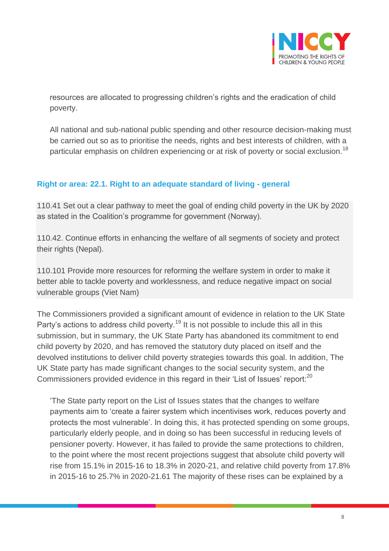

resources are allocated to progressing children's rights and the eradication of child poverty.

All national and sub-national public spending and other resource decision-making must be carried out so as to prioritise the needs, rights and best interests of children, with a particular emphasis on children experiencing or at risk of poverty or social exclusion.<sup>18</sup>

# **Right or area: 22.1. Right to an adequate standard of living - general**

110.41 Set out a clear pathway to meet the goal of ending child poverty in the UK by 2020 as stated in the Coalition's programme for government (Norway).

110.42. Continue efforts in enhancing the welfare of all segments of society and protect their rights (Nepal).

110.101 Provide more resources for reforming the welfare system in order to make it better able to tackle poverty and worklessness, and reduce negative impact on social vulnerable groups (Viet Nam)

The Commissioners provided a significant amount of evidence in relation to the UK State Party's actions to address child poverty.<sup>19</sup> It is not possible to include this all in this submission, but in summary, the UK State Party has abandoned its commitment to end child poverty by 2020, and has removed the statutory duty placed on itself and the devolved institutions to deliver child poverty strategies towards this goal. In addition, The UK State party has made significant changes to the social security system, and the Commissioners provided evidence in this regard in their 'List of Issues' report:<sup>20</sup>

'The State party report on the List of Issues states that the changes to welfare payments aim to 'create a fairer system which incentivises work, reduces poverty and protects the most vulnerable'. In doing this, it has protected spending on some groups, particularly elderly people, and in doing so has been successful in reducing levels of pensioner poverty. However, it has failed to provide the same protections to children, to the point where the most recent projections suggest that absolute child poverty will rise from 15.1% in 2015-16 to 18.3% in 2020-21, and relative child poverty from 17.8% in 2015-16 to 25.7% in 2020-21.61 The majority of these rises can be explained by a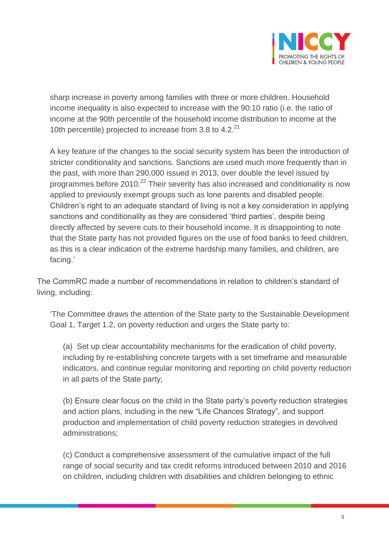

sharp increase in poverty among families with three or more children. Household income inequality is also expected to increase with the 90:10 ratio (i.e. the ratio of income at the 90th percentile of the household income distribution to income at the 10th percentile) projected to increase from 3.8 to 4.2.<sup>21</sup>

A key feature of the changes to the social security system has been the introduction of stricter conditionality and sanctions. Sanctions are used much more frequently than in the past, with more than 290,000 issued in 2013, over double the level issued by programmes before  $2010<sup>22</sup>$  Their severity has also increased and conditionality is now applied to previously exempt groups such as lone parents and disabled people. Children's right to an adequate standard of living is not a key consideration in applying sanctions and conditionality as they are considered 'third parties', despite being directly affected by severe cuts to their household income. It is disappointing to note that the State party has not provided figures on the use of food banks to feed children, as this is a clear indication of the extreme hardship many families, and children, are facing.'

The CommRC made a number of recommendations in relation to children's standard of living, including:

'The Committee draws the attention of the State party to the Sustainable Development Goal 1, Target 1.2, on poverty reduction and urges the State party to:

(a) Set up clear accountability mechanisms for the eradication of child poverty, including by re-establishing concrete targets with a set timeframe and measurable indicators, and continue regular monitoring and reporting on child poverty reduction in all parts of the State party;

(b) Ensure clear focus on the child in the State party's poverty reduction strategies and action plans, including in the new "Life Chances Strategy", and support production and implementation of child poverty reduction strategies in devolved administrations;

(c) Conduct a comprehensive assessment of the cumulative impact of the full range of social security and tax credit reforms introduced between 2010 and 2016 on children, including children with disabilities and children belonging to ethnic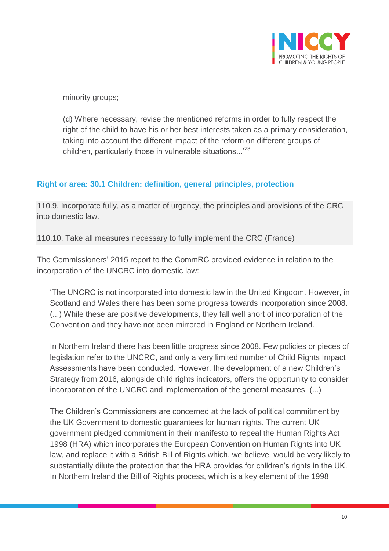

minority groups;

(d) Where necessary, revise the mentioned reforms in order to fully respect the right of the child to have his or her best interests taken as a primary consideration, taking into account the different impact of the reform on different groups of children, particularly those in vulnerable situations...'<sup>23</sup>

# **Right or area: 30.1 Children: definition, general principles, protection**

110.9. Incorporate fully, as a matter of urgency, the principles and provisions of the CRC into domestic law.

110.10. Take all measures necessary to fully implement the CRC (France)

The Commissioners' 2015 report to the CommRC provided evidence in relation to the incorporation of the UNCRC into domestic law:

'The UNCRC is not incorporated into domestic law in the United Kingdom. However, in Scotland and Wales there has been some progress towards incorporation since 2008. (...) While these are positive developments, they fall well short of incorporation of the Convention and they have not been mirrored in England or Northern Ireland.

In Northern Ireland there has been little progress since 2008. Few policies or pieces of legislation refer to the UNCRC, and only a very limited number of Child Rights Impact Assessments have been conducted. However, the development of a new Children's Strategy from 2016, alongside child rights indicators, offers the opportunity to consider incorporation of the UNCRC and implementation of the general measures. (...)

The Children's Commissioners are concerned at the lack of political commitment by the UK Government to domestic guarantees for human rights. The current UK government pledged commitment in their manifesto to repeal the Human Rights Act 1998 (HRA) which incorporates the European Convention on Human Rights into UK law, and replace it with a British Bill of Rights which, we believe, would be very likely to substantially dilute the protection that the HRA provides for children's rights in the UK. In Northern Ireland the Bill of Rights process, which is a key element of the 1998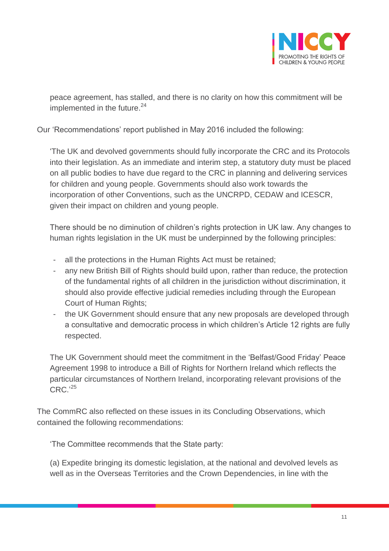

peace agreement, has stalled, and there is no clarity on how this commitment will be implemented in the future.<sup>24</sup>

Our 'Recommendations' report published in May 2016 included the following:

'The UK and devolved governments should fully incorporate the CRC and its Protocols into their legislation. As an immediate and interim step, a statutory duty must be placed on all public bodies to have due regard to the CRC in planning and delivering services for children and young people. Governments should also work towards the incorporation of other Conventions, such as the UNCRPD, CEDAW and ICESCR, given their impact on children and young people.

There should be no diminution of children's rights protection in UK law. Any changes to human rights legislation in the UK must be underpinned by the following principles:

- all the protections in the Human Rights Act must be retained;
- any new British Bill of Rights should build upon, rather than reduce, the protection of the fundamental rights of all children in the jurisdiction without discrimination, it should also provide effective judicial remedies including through the European Court of Human Rights;
- the UK Government should ensure that any new proposals are developed through a consultative and democratic process in which children's Article 12 rights are fully respected.

The UK Government should meet the commitment in the 'Belfast/Good Friday' Peace Agreement 1998 to introduce a Bill of Rights for Northern Ireland which reflects the particular circumstances of Northern Ireland, incorporating relevant provisions of the  $CRC.^{25}$ 

The CommRC also reflected on these issues in its Concluding Observations, which contained the following recommendations:

'The Committee recommends that the State party:

(a) Expedite bringing its domestic legislation, at the national and devolved levels as well as in the Overseas Territories and the Crown Dependencies, in line with the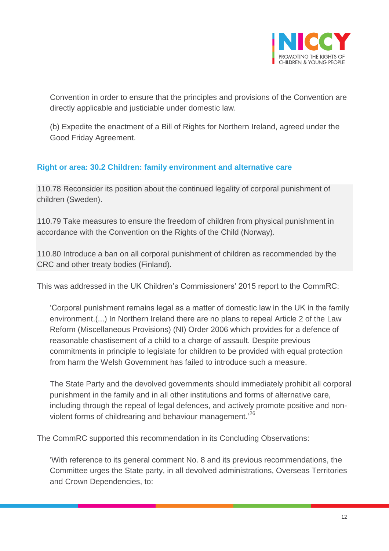

Convention in order to ensure that the principles and provisions of the Convention are directly applicable and justiciable under domestic law.

(b) Expedite the enactment of a Bill of Rights for Northern Ireland, agreed under the Good Friday Agreement.

# **Right or area: 30.2 Children: family environment and alternative care**

110.78 Reconsider its position about the continued legality of corporal punishment of children (Sweden).

110.79 Take measures to ensure the freedom of children from physical punishment in accordance with the Convention on the Rights of the Child (Norway).

110.80 Introduce a ban on all corporal punishment of children as recommended by the CRC and other treaty bodies (Finland).

This was addressed in the UK Children's Commissioners' 2015 report to the CommRC:

'Corporal punishment remains legal as a matter of domestic law in the UK in the family environment.(...) In Northern Ireland there are no plans to repeal Article 2 of the Law Reform (Miscellaneous Provisions) (NI) Order 2006 which provides for a defence of reasonable chastisement of a child to a charge of assault. Despite previous commitments in principle to legislate for children to be provided with equal protection from harm the Welsh Government has failed to introduce such a measure.

The State Party and the devolved governments should immediately prohibit all corporal punishment in the family and in all other institutions and forms of alternative care, including through the repeal of legal defences, and actively promote positive and nonviolent forms of childrearing and behaviour management.'<sup>26</sup>

The CommRC supported this recommendation in its Concluding Observations:

'With reference to its general comment No. 8 and its previous recommendations, the Committee urges the State party, in all devolved administrations, Overseas Territories and Crown Dependencies, to: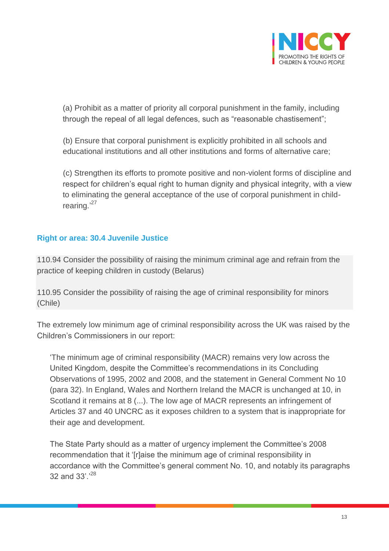

(a) Prohibit as a matter of priority all corporal punishment in the family, including through the repeal of all legal defences, such as "reasonable chastisement";

(b) Ensure that corporal punishment is explicitly prohibited in all schools and educational institutions and all other institutions and forms of alternative care;

(c) Strengthen its efforts to promote positive and non-violent forms of discipline and respect for children's equal right to human dignity and physical integrity, with a view to eliminating the general acceptance of the use of corporal punishment in childrearing.'<sup>27</sup>

# **Right or area: 30.4 Juvenile Justice**

110.94 Consider the possibility of raising the minimum criminal age and refrain from the practice of keeping children in custody (Belarus)

110.95 Consider the possibility of raising the age of criminal responsibility for minors (Chile)

The extremely low minimum age of criminal responsibility across the UK was raised by the Children's Commissioners in our report:

'The minimum age of criminal responsibility (MACR) remains very low across the United Kingdom, despite the Committee's recommendations in its Concluding Observations of 1995, 2002 and 2008, and the statement in General Comment No 10 (para 32). In England, Wales and Northern Ireland the MACR is unchanged at 10, in Scotland it remains at 8 (...). The low age of MACR represents an infringement of Articles 37 and 40 UNCRC as it exposes children to a system that is inappropriate for their age and development.

The State Party should as a matter of urgency implement the Committee's 2008 recommendation that it '[r]aise the minimum age of criminal responsibility in accordance with the Committee's general comment No. 10, and notably its paragraphs 32 and 33'.'<sup>28</sup>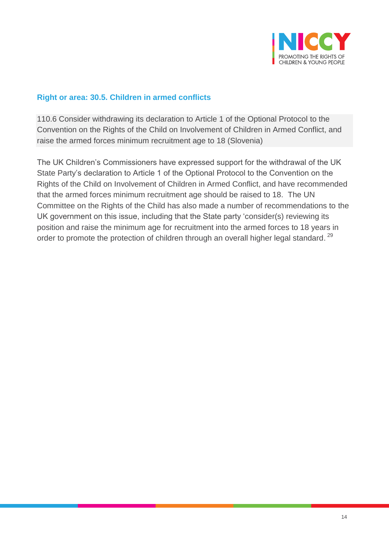

#### **Right or area: 30.5. Children in armed conflicts**

110.6 Consider withdrawing its declaration to Article 1 of the Optional Protocol to the Convention on the Rights of the Child on Involvement of Children in Armed Conflict, and raise the armed forces minimum recruitment age to 18 (Slovenia)

The UK Children's Commissioners have expressed support for the withdrawal of the UK State Party's declaration to Article 1 of the Optional Protocol to the Convention on the Rights of the Child on Involvement of Children in Armed Conflict, and have recommended that the armed forces minimum recruitment age should be raised to 18. The UN Committee on the Rights of the Child has also made a number of recommendations to the UK government on this issue, including that the State party 'consider(s) reviewing its position and raise the minimum age for recruitment into the armed forces to 18 years in order to promote the protection of children through an overall higher legal standard. <sup>29</sup>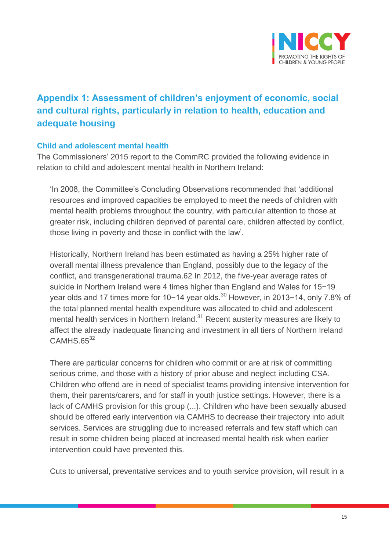

# **Appendix 1: Assessment of children's enjoyment of economic, social and cultural rights, particularly in relation to health, education and adequate housing**

#### **Child and adolescent mental health**

The Commissioners' 2015 report to the CommRC provided the following evidence in relation to child and adolescent mental health in Northern Ireland:

'In 2008, the Committee's Concluding Observations recommended that 'additional resources and improved capacities be employed to meet the needs of children with mental health problems throughout the country, with particular attention to those at greater risk, including children deprived of parental care, children affected by conflict, those living in poverty and those in conflict with the law'.

Historically, Northern Ireland has been estimated as having a 25% higher rate of overall mental illness prevalence than England, possibly due to the legacy of the conflict, and transgenerational trauma.62 In 2012, the five-year average rates of suicide in Northern Ireland were 4 times higher than England and Wales for 15−19 year olds and 17 times more for 10−14 year olds.<sup>30</sup> However, in 2013-14, only 7.8% of the total planned mental health expenditure was allocated to child and adolescent mental health services in Northern Ireland.<sup>31</sup> Recent austerity measures are likely to affect the already inadequate financing and investment in all tiers of Northern Ireland  $CAMHS.65<sup>32</sup>$ 

There are particular concerns for children who commit or are at risk of committing serious crime, and those with a history of prior abuse and neglect including CSA. Children who offend are in need of specialist teams providing intensive intervention for them, their parents/carers, and for staff in youth justice settings. However, there is a lack of CAMHS provision for this group (...). Children who have been sexually abused should be offered early intervention via CAMHS to decrease their trajectory into adult services. Services are struggling due to increased referrals and few staff which can result in some children being placed at increased mental health risk when earlier intervention could have prevented this.

Cuts to universal, preventative services and to youth service provision, will result in a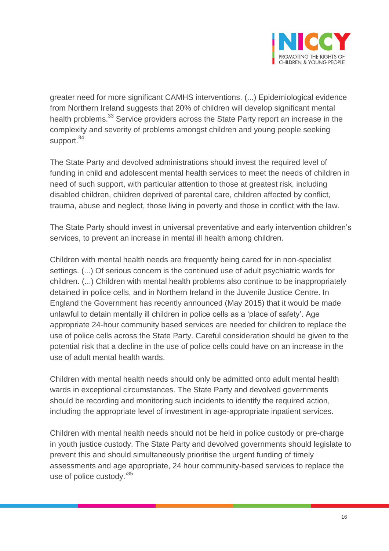

greater need for more significant CAMHS interventions. (...) Epidemiological evidence from Northern Ireland suggests that 20% of children will develop significant mental health problems.<sup>33</sup> Service providers across the State Party report an increase in the complexity and severity of problems amongst children and young people seeking support.<sup>34</sup>

The State Party and devolved administrations should invest the required level of funding in child and adolescent mental health services to meet the needs of children in need of such support, with particular attention to those at greatest risk, including disabled children, children deprived of parental care, children affected by conflict, trauma, abuse and neglect, those living in poverty and those in conflict with the law.

The State Party should invest in universal preventative and early intervention children's services, to prevent an increase in mental ill health among children.

Children with mental health needs are frequently being cared for in non-specialist settings. (...) Of serious concern is the continued use of adult psychiatric wards for children. (...) Children with mental health problems also continue to be inappropriately detained in police cells, and in Northern Ireland in the Juvenile Justice Centre. In England the Government has recently announced (May 2015) that it would be made unlawful to detain mentally ill children in police cells as a 'place of safety'. Age appropriate 24-hour community based services are needed for children to replace the use of police cells across the State Party. Careful consideration should be given to the potential risk that a decline in the use of police cells could have on an increase in the use of adult mental health wards.

Children with mental health needs should only be admitted onto adult mental health wards in exceptional circumstances. The State Party and devolved governments should be recording and monitoring such incidents to identify the required action, including the appropriate level of investment in age-appropriate inpatient services.

Children with mental health needs should not be held in police custody or pre-charge in youth justice custody. The State Party and devolved governments should legislate to prevent this and should simultaneously prioritise the urgent funding of timely assessments and age appropriate, 24 hour community-based services to replace the use of police custody.<sup>35</sup>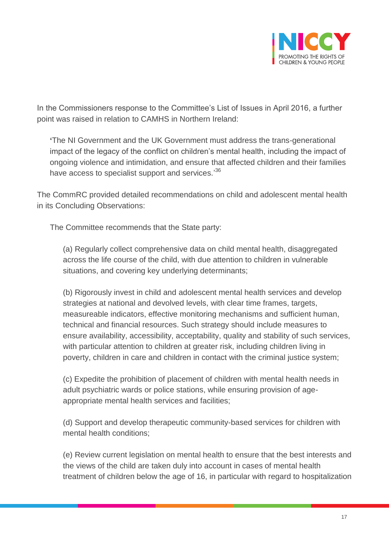

In the Commissioners response to the Committee's List of Issues in April 2016, a further point was raised in relation to CAMHS in Northern Ireland:

**'**The NI Government and the UK Government must address the trans-generational impact of the legacy of the conflict on children's mental health, including the impact of ongoing violence and intimidation, and ensure that affected children and their families have access to specialist support and services.'<sup>36</sup>

The CommRC provided detailed recommendations on child and adolescent mental health in its Concluding Observations:

The Committee recommends that the State party:

(a) Regularly collect comprehensive data on child mental health, disaggregated across the life course of the child, with due attention to children in vulnerable situations, and covering key underlying determinants;

(b) Rigorously invest in child and adolescent mental health services and develop strategies at national and devolved levels, with clear time frames, targets, measureable indicators, effective monitoring mechanisms and sufficient human, technical and financial resources. Such strategy should include measures to ensure availability, accessibility, acceptability, quality and stability of such services, with particular attention to children at greater risk, including children living in poverty, children in care and children in contact with the criminal justice system;

(c) Expedite the prohibition of placement of children with mental health needs in adult psychiatric wards or police stations, while ensuring provision of ageappropriate mental health services and facilities;

(d) Support and develop therapeutic community-based services for children with mental health conditions;

(e) Review current legislation on mental health to ensure that the best interests and the views of the child are taken duly into account in cases of mental health treatment of children below the age of 16, in particular with regard to hospitalization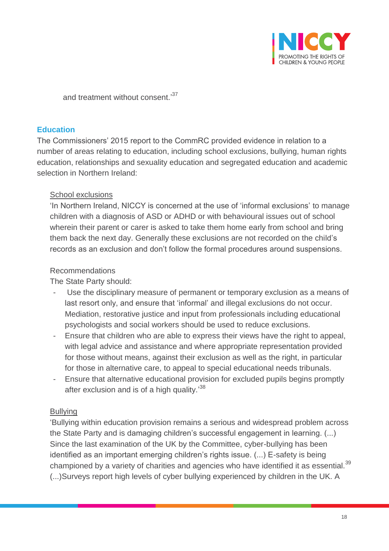

and treatment without consent.'<sup>37</sup>

#### **Education**

The Commissioners' 2015 report to the CommRC provided evidence in relation to a number of areas relating to education, including school exclusions, bullying, human rights education, relationships and sexuality education and segregated education and academic selection in Northern Ireland:

#### School exclusions

'In Northern Ireland, NICCY is concerned at the use of 'informal exclusions' to manage children with a diagnosis of ASD or ADHD or with behavioural issues out of school wherein their parent or carer is asked to take them home early from school and bring them back the next day. Generally these exclusions are not recorded on the child's records as an exclusion and don't follow the formal procedures around suspensions.

#### Recommendations

The State Party should:

- Use the disciplinary measure of permanent or temporary exclusion as a means of last resort only, and ensure that 'informal' and illegal exclusions do not occur. Mediation, restorative justice and input from professionals including educational psychologists and social workers should be used to reduce exclusions.
- Ensure that children who are able to express their views have the right to appeal, with legal advice and assistance and where appropriate representation provided for those without means, against their exclusion as well as the right, in particular for those in alternative care, to appeal to special educational needs tribunals.
- Ensure that alternative educational provision for excluded pupils begins promptly after exclusion and is of a high quality.'<sup>38</sup>

#### **Bullying**

'Bullying within education provision remains a serious and widespread problem across the State Party and is damaging children's successful engagement in learning. (...) Since the last examination of the UK by the Committee, cyber-bullying has been identified as an important emerging children's rights issue. (...) E-safety is being championed by a variety of charities and agencies who have identified it as essential.<sup>39</sup> (...)Surveys report high levels of cyber bullying experienced by children in the UK. A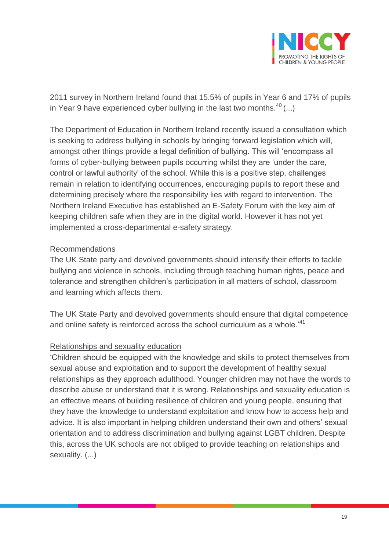

2011 survey in Northern Ireland found that 15.5% of pupils in Year 6 and 17% of pupils in Year 9 have experienced cyber bullying in the last two months.  $40$  (...)

The Department of Education in Northern Ireland recently issued a consultation which is seeking to address bullying in schools by bringing forward legislation which will, amongst other things provide a legal definition of bullying. This will 'encompass all forms of cyber-bullying between pupils occurring whilst they are 'under the care, control or lawful authority' of the school. While this is a positive step, challenges remain in relation to identifying occurrences, encouraging pupils to report these and determining precisely where the responsibility lies with regard to intervention. The Northern Ireland Executive has established an E-Safety Forum with the key aim of keeping children safe when they are in the digital world. However it has not yet implemented a cross-departmental e-safety strategy.

# Recommendations

The UK State party and devolved governments should intensify their efforts to tackle bullying and violence in schools, including through teaching human rights, peace and tolerance and strengthen children's participation in all matters of school, classroom and learning which affects them.

The UK State Party and devolved governments should ensure that digital competence and online safety is reinforced across the school curriculum as a whole.<sup>'41</sup>

# Relationships and sexuality education

'Children should be equipped with the knowledge and skills to protect themselves from sexual abuse and exploitation and to support the development of healthy sexual relationships as they approach adulthood. Younger children may not have the words to describe abuse or understand that it is wrong. Relationships and sexuality education is an effective means of building resilience of children and young people, ensuring that they have the knowledge to understand exploitation and know how to access help and advice. It is also important in helping children understand their own and others' sexual orientation and to address discrimination and bullying against LGBT children. Despite this, across the UK schools are not obliged to provide teaching on relationships and sexuality. (...)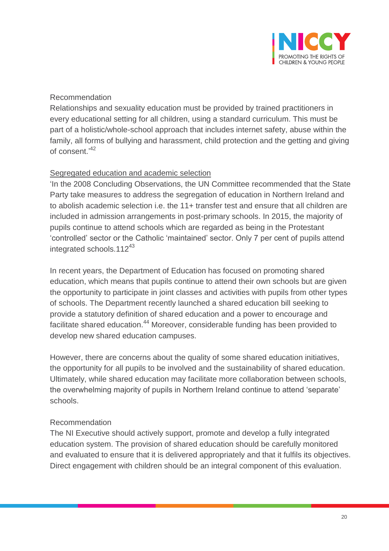

# Recommendation

Relationships and sexuality education must be provided by trained practitioners in every educational setting for all children, using a standard curriculum. This must be part of a holistic/whole-school approach that includes internet safety, abuse within the family, all forms of bullying and harassment, child protection and the getting and giving of consent.'<sup>42</sup>

# Segregated education and academic selection

'In the 2008 Concluding Observations, the UN Committee recommended that the State Party take measures to address the segregation of education in Northern Ireland and to abolish academic selection i.e. the 11+ transfer test and ensure that all children are included in admission arrangements in post-primary schools. In 2015, the majority of pupils continue to attend schools which are regarded as being in the Protestant 'controlled' sector or the Catholic 'maintained' sector. Only 7 per cent of pupils attend integrated schools. $112^{43}$ 

In recent years, the Department of Education has focused on promoting shared education, which means that pupils continue to attend their own schools but are given the opportunity to participate in joint classes and activities with pupils from other types of schools. The Department recently launched a shared education bill seeking to provide a statutory definition of shared education and a power to encourage and facilitate shared education.<sup>44</sup> Moreover, considerable funding has been provided to develop new shared education campuses.

However, there are concerns about the quality of some shared education initiatives, the opportunity for all pupils to be involved and the sustainability of shared education. Ultimately, while shared education may facilitate more collaboration between schools, the overwhelming majority of pupils in Northern Ireland continue to attend 'separate' schools.

# Recommendation

The NI Executive should actively support, promote and develop a fully integrated education system. The provision of shared education should be carefully monitored and evaluated to ensure that it is delivered appropriately and that it fulfils its objectives. Direct engagement with children should be an integral component of this evaluation.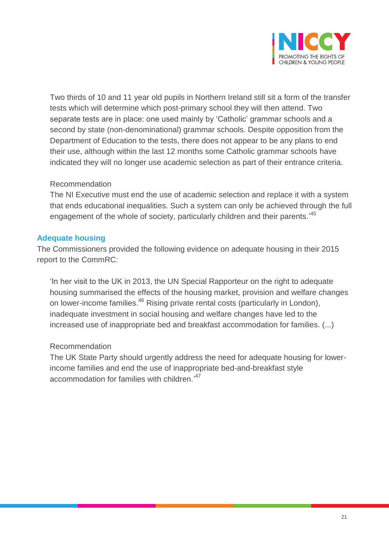

Two thirds of 10 and 11 year old pupils in Northern Ireland still sit a form of the transfer tests which will determine which post-primary school they will then attend. Two separate tests are in place: one used mainly by 'Catholic' grammar schools and a second by state (non-denominational) grammar schools. Despite opposition from the Department of Education to the tests, there does not appear to be any plans to end their use, although within the last 12 months some Catholic grammar schools have indicated they will no longer use academic selection as part of their entrance criteria.

#### Recommendation

The NI Executive must end the use of academic selection and replace it with a system that ends educational inequalities. Such a system can only be achieved through the full engagement of the whole of society, particularly children and their parents.'<sup>45</sup>

# **Adequate housing**

The Commissioners provided the following evidence on adequate housing in their 2015 report to the CommRC:

'In her visit to the UK in 2013, the UN Special Rapporteur on the right to adequate housing summarised the effects of the housing market, provision and welfare changes on lower-income families.<sup>46</sup> Rising private rental costs (particularly in London), inadequate investment in social housing and welfare changes have led to the increased use of inappropriate bed and breakfast accommodation for families. (...)

# Recommendation

The UK State Party should urgently address the need for adequate housing for lowerincome families and end the use of inappropriate bed-and-breakfast style accommodation for families with children.'<sup>47</sup>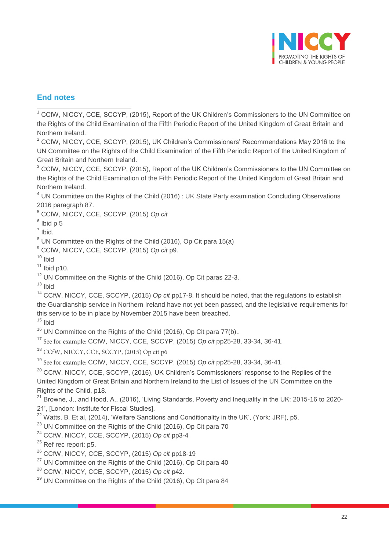

#### **End notes**

 $\overline{\phantom{a}}$  $1$  CCfW, NICCY, CCE, SCCYP, (2015), Report of the UK Children's Commissioners to the UN Committee on the Rights of the Child Examination of the Fifth Periodic Report of the United Kingdom of Great Britain and Northern Ireland.

 $2$  CCfW, NICCY, CCE, SCCYP, (2015), UK Children's Commissioners' Recommendations May 2016 to the UN Committee on the Rights of the Child Examination of the Fifth Periodic Report of the United Kingdom of Great Britain and Northern Ireland.

<sup>3</sup> CCfW, NICCY, CCE, SCCYP, (2015), Report of the UK Children's Commissioners to the UN Committee on the Rights of the Child Examination of the Fifth Periodic Report of the United Kingdom of Great Britain and Northern Ireland.

<sup>4</sup> UN Committee on the Rights of the Child (2016) : UK State Party examination Concluding Observations 2016 paragraph 87.

<sup>5</sup> CCfW, NICCY, CCE, SCCYP, (2015) *Op cit*

 $^6$  Ibid p 5

 $<sup>7</sup>$  Ibid.</sup>

 $8$  UN Committee on the Rights of the Child (2016), Op Cit para 15(a)

<sup>9</sup> CCfW, NICCY, CCE, SCCYP, (2015) *Op cit* p9.

 $10$  Ibid

 $11$  Ibid p10.

<sup>12</sup> UN Committee on the Rights of the Child (2016), Op Cit paras 22-3.

 $13$  Ibid

<sup>14</sup> CCfW, NICCY, CCE, SCCYP, (2015) *Op cit* pp17-8. It should be noted, that the regulations to establish the Guardianship service in Northern Ireland have not yet been passed, and the legislative requirements for this service to be in place by November 2015 have been breached.

 $15$  Ibid

<sup>16</sup> UN Committee on the Rights of the Child (2016), Op Cit para 77(b)..

<sup>17</sup> See for example: CCfW, NICCY, CCE, SCCYP, (2015) *Op cit* pp25-28, 33-34, 36-41.

<sup>18</sup> CCfW, NICCY, CCE, SCCYP, (2015) Op cit p6

<sup>19</sup> See for example: CCfW, NICCY, CCE, SCCYP, (2015) *Op cit* pp25-28, 33-34, 36-41.

<sup>20</sup> CCfW, NICCY, CCE, SCCYP, (2016), UK Children's Commissioners' response to the Replies of the United Kingdom of Great Britain and Northern Ireland to the List of Issues of the UN Committee on the Rights of the Child, p18.

 $21$  Browne, J., and Hood, A., (2016), 'Living Standards, Poverty and Inequality in the UK: 2015-16 to 2020-21', [London: Institute for Fiscal Studies].

 $22$  Watts, B. Et al, (2014), 'Welfare Sanctions and Conditionality in the UK', (York: JRF), p5.

<sup>23</sup> UN Committee on the Rights of the Child (2016), Op Cit para 70

<sup>24</sup> CCfW, NICCY, CCE, SCCYP, (2015) *Op cit* pp3-4

 $25$  Ref rec report: p5.

<sup>26</sup> CCfW, NICCY, CCE, SCCYP, (2015) *Op cit* pp18-19

 $27$  UN Committee on the Rights of the Child (2016), Op Cit para 40

<sup>28</sup> CCfW, NICCY, CCE, SCCYP, (2015) *Op cit* p42.

<sup>29</sup> UN Committee on the Rights of the Child (2016), Op Cit para 84